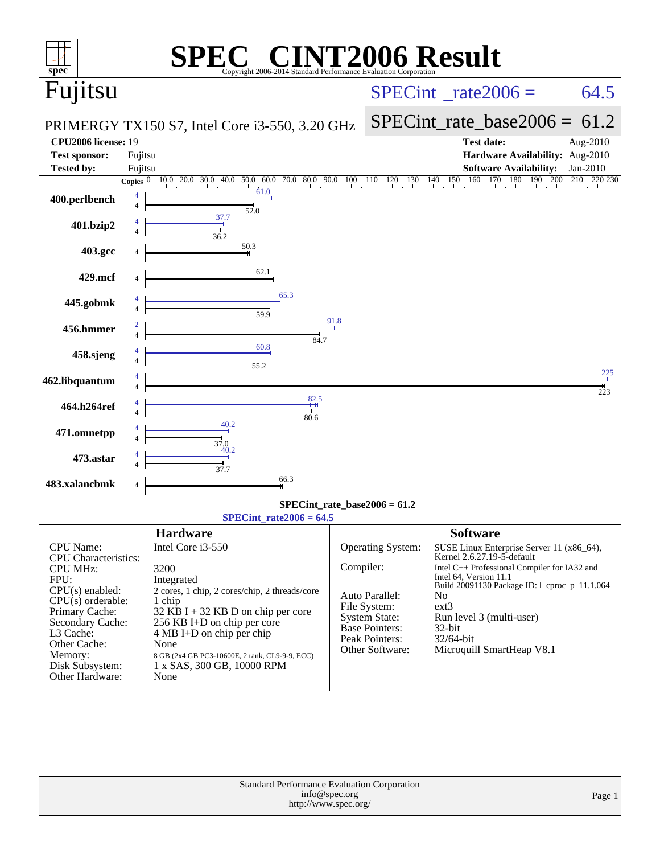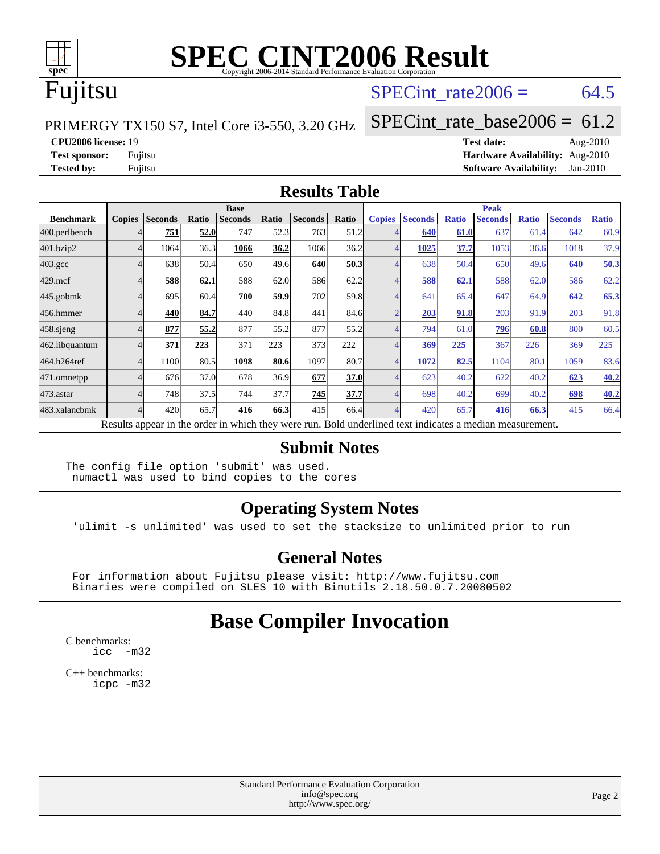

## Fujitsu

#### SPECint rate  $2006 = 64.5$

PRIMERGY TX150 S7, Intel Core i3-550, 3.20 GHz

[SPECint\\_rate\\_base2006 =](http://www.spec.org/auto/cpu2006/Docs/result-fields.html#SPECintratebase2006) 61.2

**[CPU2006 license:](http://www.spec.org/auto/cpu2006/Docs/result-fields.html#CPU2006license)** 19 **[Test date:](http://www.spec.org/auto/cpu2006/Docs/result-fields.html#Testdate)** Aug-2010

**[Test sponsor:](http://www.spec.org/auto/cpu2006/Docs/result-fields.html#Testsponsor)** Fujitsu **[Hardware Availability:](http://www.spec.org/auto/cpu2006/Docs/result-fields.html#HardwareAvailability)** Aug-2010 **[Tested by:](http://www.spec.org/auto/cpu2006/Docs/result-fields.html#Testedby)** Fujitsu **[Software Availability:](http://www.spec.org/auto/cpu2006/Docs/result-fields.html#SoftwareAvailability)** Jan-2010

#### **[Results Table](http://www.spec.org/auto/cpu2006/Docs/result-fields.html#ResultsTable)**

|                    | <b>Base</b>   |                |       |                |       |                                                                                                          |       | <b>Peak</b>   |                |              |                |              |                |              |
|--------------------|---------------|----------------|-------|----------------|-------|----------------------------------------------------------------------------------------------------------|-------|---------------|----------------|--------------|----------------|--------------|----------------|--------------|
| <b>Benchmark</b>   | <b>Copies</b> | <b>Seconds</b> | Ratio | <b>Seconds</b> | Ratio | <b>Seconds</b>                                                                                           | Ratio | <b>Copies</b> | <b>Seconds</b> | <b>Ratio</b> | <b>Seconds</b> | <b>Ratio</b> | <b>Seconds</b> | <b>Ratio</b> |
| 400.perlbench      |               | 751            | 52.0  | 747            | 52.3  | 763                                                                                                      | 51.2  |               | 640            | 61.0         | 637            | 61.4         | 642            | 60.9         |
| 401.bzip2          |               | 1064           | 36.3  | 1066           | 36.2  | 1066                                                                                                     | 36.2  |               | 1025           | 37.7         | 1053           | 36.6         | 1018           | 37.9         |
| $403.\mathrm{gcc}$ |               | 638            | 50.4  | 650            | 49.6  | 640                                                                                                      | 50.3  |               | 638            | 50.4         | 650            | 49.6         | 640            | 50.3         |
| $429$ .mcf         |               | 588            | 62.1  | 588            | 62.0  | 586                                                                                                      | 62.2  |               | 588            | 62.1         | 588            | 62.0         | 586            | 62.2         |
| $445$ .gobmk       |               | 695            | 60.4  | 700            | 59.9  | 702                                                                                                      | 59.8  |               | 641            | 65.4         | 647            | 64.9         | 642            | 65.3         |
| 456.hmmer          |               | 440            | 84.7  | 440            | 84.8  | 441                                                                                                      | 84.6  |               | 203            | 91.8         | 203            | 91.9         | 203            | 91.8         |
| 458.sjeng          |               | 877            | 55.2  | 877            | 55.2  | 877                                                                                                      | 55.2  |               | 794            | 61.0         | 796            | 60.8         | 800            | 60.5         |
| 462.libquantum     |               | 371            | 223   | 371            | 223   | 373                                                                                                      | 222   |               | 369            | 225          | 367            | 226          | 369            | 225          |
| 464.h264ref        |               | 1100           | 80.5  | 1098           | 80.6  | 1097                                                                                                     | 80.7  |               | 1072           | 82.5         | 1104           | 80.1         | 1059           | 83.6         |
| 471.omnetpp        |               | 676            | 37.0  | 678            | 36.9  | 677                                                                                                      | 37.0  |               | 623            | 40.2         | 622            | 40.2         | 623            | 40.2         |
| $473.$ astar       |               | 748            | 37.5  | 744            | 37.7  | 745                                                                                                      | 37.7  |               | 698            | 40.2         | 699            | 40.2         | 698            | 40.2         |
| 483.xalancbmk      |               | 420            | 65.7  | 416            | 66.3  | 415                                                                                                      | 66.4  |               | 420            | 65.7         | 416            | 66.3         | 415            | 66.4         |
|                    |               |                |       |                |       | Results appear in the order in which they were run. Bold underlined text indicates a median measurement. |       |               |                |              |                |              |                |              |

#### **[Submit Notes](http://www.spec.org/auto/cpu2006/Docs/result-fields.html#SubmitNotes)**

The config file option 'submit' was used. numactl was used to bind copies to the cores

#### **[Operating System Notes](http://www.spec.org/auto/cpu2006/Docs/result-fields.html#OperatingSystemNotes)**

'ulimit -s unlimited' was used to set the stacksize to unlimited prior to run

#### **[General Notes](http://www.spec.org/auto/cpu2006/Docs/result-fields.html#GeneralNotes)**

 For information about Fujitsu please visit: <http://www.fujitsu.com> Binaries were compiled on SLES 10 with Binutils 2.18.50.0.7.20080502

#### **[Base Compiler Invocation](http://www.spec.org/auto/cpu2006/Docs/result-fields.html#BaseCompilerInvocation)**

[C benchmarks](http://www.spec.org/auto/cpu2006/Docs/result-fields.html#Cbenchmarks): [icc -m32](http://www.spec.org/cpu2006/results/res2010q3/cpu2006-20100820-13042.flags.html#user_CCbase_intel_icc_32bit_5ff4a39e364c98233615fdd38438c6f2)

[C++ benchmarks:](http://www.spec.org/auto/cpu2006/Docs/result-fields.html#CXXbenchmarks) [icpc -m32](http://www.spec.org/cpu2006/results/res2010q3/cpu2006-20100820-13042.flags.html#user_CXXbase_intel_icpc_32bit_4e5a5ef1a53fd332b3c49e69c3330699)

> Standard Performance Evaluation Corporation [info@spec.org](mailto:info@spec.org) <http://www.spec.org/>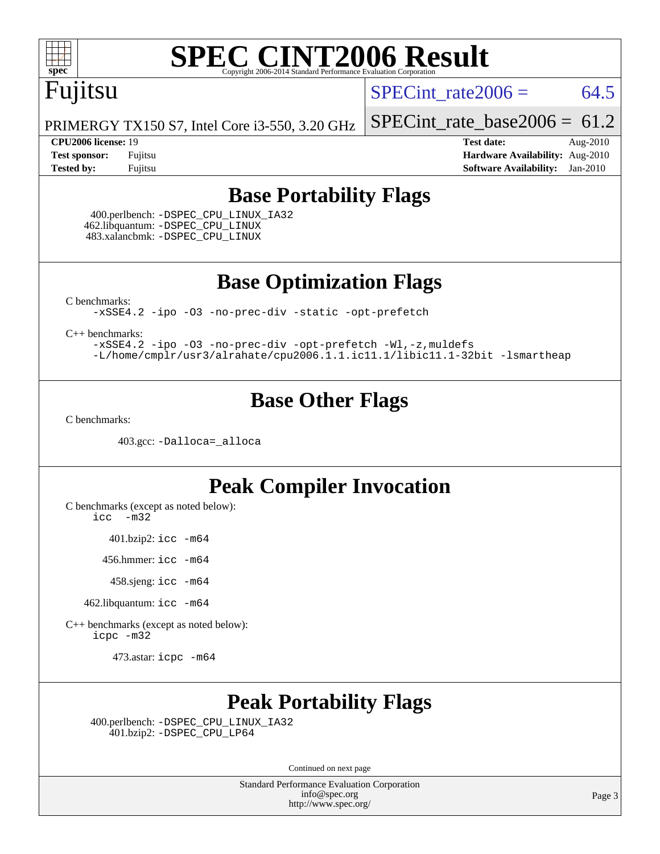

## Fujitsu

SPECint rate  $2006 = 64.5$ 

PRIMERGY TX150 S7, Intel Core i3-550, 3.20 GHz

[SPECint\\_rate\\_base2006 =](http://www.spec.org/auto/cpu2006/Docs/result-fields.html#SPECintratebase2006)  $61.2$ 

**[CPU2006 license:](http://www.spec.org/auto/cpu2006/Docs/result-fields.html#CPU2006license)** 19 **[Test date:](http://www.spec.org/auto/cpu2006/Docs/result-fields.html#Testdate)** Aug-2010 **[Test sponsor:](http://www.spec.org/auto/cpu2006/Docs/result-fields.html#Testsponsor)** Fujitsu **[Hardware Availability:](http://www.spec.org/auto/cpu2006/Docs/result-fields.html#HardwareAvailability)** Aug-2010 **[Tested by:](http://www.spec.org/auto/cpu2006/Docs/result-fields.html#Testedby)** Fujitsu **[Software Availability:](http://www.spec.org/auto/cpu2006/Docs/result-fields.html#SoftwareAvailability)** Jan-2010

#### **[Base Portability Flags](http://www.spec.org/auto/cpu2006/Docs/result-fields.html#BasePortabilityFlags)**

 400.perlbench: [-DSPEC\\_CPU\\_LINUX\\_IA32](http://www.spec.org/cpu2006/results/res2010q3/cpu2006-20100820-13042.flags.html#b400.perlbench_baseCPORTABILITY_DSPEC_CPU_LINUX_IA32) 462.libquantum: [-DSPEC\\_CPU\\_LINUX](http://www.spec.org/cpu2006/results/res2010q3/cpu2006-20100820-13042.flags.html#b462.libquantum_baseCPORTABILITY_DSPEC_CPU_LINUX) 483.xalancbmk: [-DSPEC\\_CPU\\_LINUX](http://www.spec.org/cpu2006/results/res2010q3/cpu2006-20100820-13042.flags.html#b483.xalancbmk_baseCXXPORTABILITY_DSPEC_CPU_LINUX)

**[Base Optimization Flags](http://www.spec.org/auto/cpu2006/Docs/result-fields.html#BaseOptimizationFlags)**

[C benchmarks](http://www.spec.org/auto/cpu2006/Docs/result-fields.html#Cbenchmarks):

[-xSSE4.2](http://www.spec.org/cpu2006/results/res2010q3/cpu2006-20100820-13042.flags.html#user_CCbase_f-xSSE42_f91528193cf0b216347adb8b939d4107) [-ipo](http://www.spec.org/cpu2006/results/res2010q3/cpu2006-20100820-13042.flags.html#user_CCbase_f-ipo) [-O3](http://www.spec.org/cpu2006/results/res2010q3/cpu2006-20100820-13042.flags.html#user_CCbase_f-O3) [-no-prec-div](http://www.spec.org/cpu2006/results/res2010q3/cpu2006-20100820-13042.flags.html#user_CCbase_f-no-prec-div) [-static](http://www.spec.org/cpu2006/results/res2010q3/cpu2006-20100820-13042.flags.html#user_CCbase_f-static) [-opt-prefetch](http://www.spec.org/cpu2006/results/res2010q3/cpu2006-20100820-13042.flags.html#user_CCbase_f-opt-prefetch)

[C++ benchmarks:](http://www.spec.org/auto/cpu2006/Docs/result-fields.html#CXXbenchmarks)

[-xSSE4.2](http://www.spec.org/cpu2006/results/res2010q3/cpu2006-20100820-13042.flags.html#user_CXXbase_f-xSSE42_f91528193cf0b216347adb8b939d4107) [-ipo](http://www.spec.org/cpu2006/results/res2010q3/cpu2006-20100820-13042.flags.html#user_CXXbase_f-ipo) [-O3](http://www.spec.org/cpu2006/results/res2010q3/cpu2006-20100820-13042.flags.html#user_CXXbase_f-O3) [-no-prec-div](http://www.spec.org/cpu2006/results/res2010q3/cpu2006-20100820-13042.flags.html#user_CXXbase_f-no-prec-div) [-opt-prefetch](http://www.spec.org/cpu2006/results/res2010q3/cpu2006-20100820-13042.flags.html#user_CXXbase_f-opt-prefetch) [-Wl,-z,muldefs](http://www.spec.org/cpu2006/results/res2010q3/cpu2006-20100820-13042.flags.html#user_CXXbase_link_force_multiple1_74079c344b956b9658436fd1b6dd3a8a) [-L/home/cmplr/usr3/alrahate/cpu2006.1.1.ic11.1/libic11.1-32bit -lsmartheap](http://www.spec.org/cpu2006/results/res2010q3/cpu2006-20100820-13042.flags.html#user_CXXbase_SmartHeap_d86dffe4a79b79ef8890d5cce17030c3)

#### **[Base Other Flags](http://www.spec.org/auto/cpu2006/Docs/result-fields.html#BaseOtherFlags)**

[C benchmarks](http://www.spec.org/auto/cpu2006/Docs/result-fields.html#Cbenchmarks):

403.gcc: [-Dalloca=\\_alloca](http://www.spec.org/cpu2006/results/res2010q3/cpu2006-20100820-13042.flags.html#b403.gcc_baseEXTRA_CFLAGS_Dalloca_be3056838c12de2578596ca5467af7f3)

#### **[Peak Compiler Invocation](http://www.spec.org/auto/cpu2006/Docs/result-fields.html#PeakCompilerInvocation)**

[C benchmarks \(except as noted below\)](http://www.spec.org/auto/cpu2006/Docs/result-fields.html#Cbenchmarksexceptasnotedbelow):

[icc -m32](http://www.spec.org/cpu2006/results/res2010q3/cpu2006-20100820-13042.flags.html#user_CCpeak_intel_icc_32bit_5ff4a39e364c98233615fdd38438c6f2)

401.bzip2: [icc -m64](http://www.spec.org/cpu2006/results/res2010q3/cpu2006-20100820-13042.flags.html#user_peakCCLD401_bzip2_intel_icc_64bit_bda6cc9af1fdbb0edc3795bac97ada53)

456.hmmer: [icc -m64](http://www.spec.org/cpu2006/results/res2010q3/cpu2006-20100820-13042.flags.html#user_peakCCLD456_hmmer_intel_icc_64bit_bda6cc9af1fdbb0edc3795bac97ada53)

458.sjeng: [icc -m64](http://www.spec.org/cpu2006/results/res2010q3/cpu2006-20100820-13042.flags.html#user_peakCCLD458_sjeng_intel_icc_64bit_bda6cc9af1fdbb0edc3795bac97ada53)

462.libquantum: [icc -m64](http://www.spec.org/cpu2006/results/res2010q3/cpu2006-20100820-13042.flags.html#user_peakCCLD462_libquantum_intel_icc_64bit_bda6cc9af1fdbb0edc3795bac97ada53)

[C++ benchmarks \(except as noted below\):](http://www.spec.org/auto/cpu2006/Docs/result-fields.html#CXXbenchmarksexceptasnotedbelow) [icpc -m32](http://www.spec.org/cpu2006/results/res2010q3/cpu2006-20100820-13042.flags.html#user_CXXpeak_intel_icpc_32bit_4e5a5ef1a53fd332b3c49e69c3330699)

473.astar: [icpc -m64](http://www.spec.org/cpu2006/results/res2010q3/cpu2006-20100820-13042.flags.html#user_peakCXXLD473_astar_intel_icpc_64bit_fc66a5337ce925472a5c54ad6a0de310)

#### **[Peak Portability Flags](http://www.spec.org/auto/cpu2006/Docs/result-fields.html#PeakPortabilityFlags)**

 400.perlbench: [-DSPEC\\_CPU\\_LINUX\\_IA32](http://www.spec.org/cpu2006/results/res2010q3/cpu2006-20100820-13042.flags.html#b400.perlbench_peakCPORTABILITY_DSPEC_CPU_LINUX_IA32) 401.bzip2: [-DSPEC\\_CPU\\_LP64](http://www.spec.org/cpu2006/results/res2010q3/cpu2006-20100820-13042.flags.html#suite_peakCPORTABILITY401_bzip2_DSPEC_CPU_LP64)

Continued on next page

Standard Performance Evaluation Corporation [info@spec.org](mailto:info@spec.org) <http://www.spec.org/>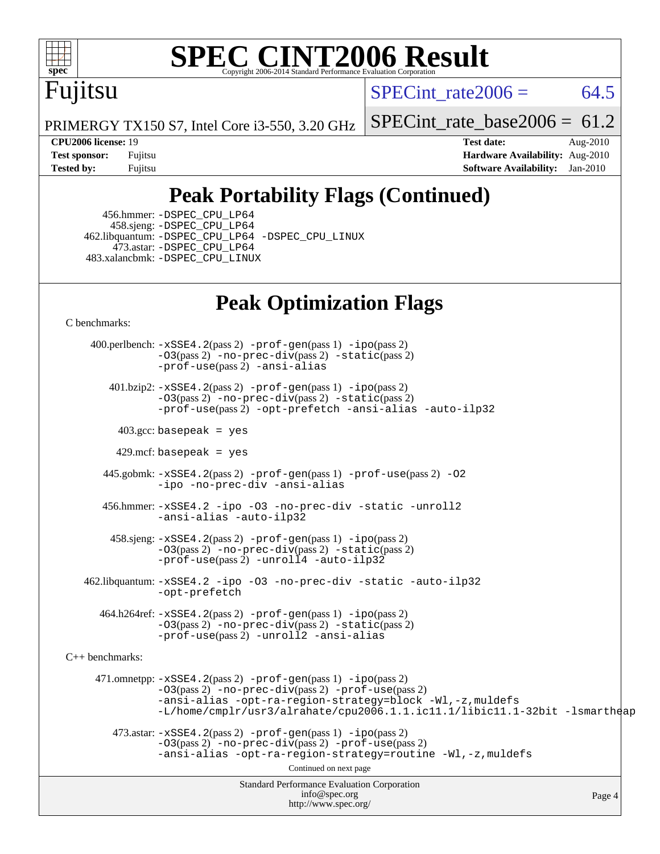

# Fujitsu

SPECint rate  $2006 = 64.5$ 

PRIMERGY TX150 S7, Intel Core i3-550, 3.20 GHz

[SPECint\\_rate\\_base2006 =](http://www.spec.org/auto/cpu2006/Docs/result-fields.html#SPECintratebase2006) 61.2

**[CPU2006 license:](http://www.spec.org/auto/cpu2006/Docs/result-fields.html#CPU2006license)** 19 **[Test date:](http://www.spec.org/auto/cpu2006/Docs/result-fields.html#Testdate)** Aug-2010 **[Test sponsor:](http://www.spec.org/auto/cpu2006/Docs/result-fields.html#Testsponsor)** Fujitsu **[Hardware Availability:](http://www.spec.org/auto/cpu2006/Docs/result-fields.html#HardwareAvailability)** Aug-2010 **[Tested by:](http://www.spec.org/auto/cpu2006/Docs/result-fields.html#Testedby)** Fujitsu **[Software Availability:](http://www.spec.org/auto/cpu2006/Docs/result-fields.html#SoftwareAvailability)** Jan-2010

### **[Peak Portability Flags \(Continued\)](http://www.spec.org/auto/cpu2006/Docs/result-fields.html#PeakPortabilityFlags)**

 456.hmmer: [-DSPEC\\_CPU\\_LP64](http://www.spec.org/cpu2006/results/res2010q3/cpu2006-20100820-13042.flags.html#suite_peakCPORTABILITY456_hmmer_DSPEC_CPU_LP64) 458.sjeng: [-DSPEC\\_CPU\\_LP64](http://www.spec.org/cpu2006/results/res2010q3/cpu2006-20100820-13042.flags.html#suite_peakCPORTABILITY458_sjeng_DSPEC_CPU_LP64) 462.libquantum: [-DSPEC\\_CPU\\_LP64](http://www.spec.org/cpu2006/results/res2010q3/cpu2006-20100820-13042.flags.html#suite_peakCPORTABILITY462_libquantum_DSPEC_CPU_LP64) [-DSPEC\\_CPU\\_LINUX](http://www.spec.org/cpu2006/results/res2010q3/cpu2006-20100820-13042.flags.html#b462.libquantum_peakCPORTABILITY_DSPEC_CPU_LINUX) 473.astar: [-DSPEC\\_CPU\\_LP64](http://www.spec.org/cpu2006/results/res2010q3/cpu2006-20100820-13042.flags.html#suite_peakCXXPORTABILITY473_astar_DSPEC_CPU_LP64) 483.xalancbmk: [-DSPEC\\_CPU\\_LINUX](http://www.spec.org/cpu2006/results/res2010q3/cpu2006-20100820-13042.flags.html#b483.xalancbmk_peakCXXPORTABILITY_DSPEC_CPU_LINUX)

### **[Peak Optimization Flags](http://www.spec.org/auto/cpu2006/Docs/result-fields.html#PeakOptimizationFlags)**

[C benchmarks](http://www.spec.org/auto/cpu2006/Docs/result-fields.html#Cbenchmarks):

Standard Performance Evaluation Corporation [info@spec.org](mailto:info@spec.org) <http://www.spec.org/> Page 4 400.perlbench: [-xSSE4.2](http://www.spec.org/cpu2006/results/res2010q3/cpu2006-20100820-13042.flags.html#user_peakPASS2_CFLAGSPASS2_LDCFLAGS400_perlbench_f-xSSE42_f91528193cf0b216347adb8b939d4107)(pass 2) [-prof-gen](http://www.spec.org/cpu2006/results/res2010q3/cpu2006-20100820-13042.flags.html#user_peakPASS1_CFLAGSPASS1_LDCFLAGS400_perlbench_prof_gen_e43856698f6ca7b7e442dfd80e94a8fc)(pass 1) [-ipo](http://www.spec.org/cpu2006/results/res2010q3/cpu2006-20100820-13042.flags.html#user_peakPASS2_CFLAGSPASS2_LDCFLAGS400_perlbench_f-ipo)(pass 2)  $-03$ (pass 2)  $-$ no-prec-div(pass 2)  $-$ static(pass 2) [-prof-use](http://www.spec.org/cpu2006/results/res2010q3/cpu2006-20100820-13042.flags.html#user_peakPASS2_CFLAGSPASS2_LDCFLAGS400_perlbench_prof_use_bccf7792157ff70d64e32fe3e1250b55)(pass 2) [-ansi-alias](http://www.spec.org/cpu2006/results/res2010q3/cpu2006-20100820-13042.flags.html#user_peakCOPTIMIZE400_perlbench_f-ansi-alias) 401.bzip2: [-xSSE4.2](http://www.spec.org/cpu2006/results/res2010q3/cpu2006-20100820-13042.flags.html#user_peakPASS2_CFLAGSPASS2_LDCFLAGS401_bzip2_f-xSSE42_f91528193cf0b216347adb8b939d4107)(pass 2) [-prof-gen](http://www.spec.org/cpu2006/results/res2010q3/cpu2006-20100820-13042.flags.html#user_peakPASS1_CFLAGSPASS1_LDCFLAGS401_bzip2_prof_gen_e43856698f6ca7b7e442dfd80e94a8fc)(pass 1) [-ipo](http://www.spec.org/cpu2006/results/res2010q3/cpu2006-20100820-13042.flags.html#user_peakPASS2_CFLAGSPASS2_LDCFLAGS401_bzip2_f-ipo)(pass 2) [-O3](http://www.spec.org/cpu2006/results/res2010q3/cpu2006-20100820-13042.flags.html#user_peakPASS2_CFLAGSPASS2_LDCFLAGS401_bzip2_f-O3)(pass 2) [-no-prec-div](http://www.spec.org/cpu2006/results/res2010q3/cpu2006-20100820-13042.flags.html#user_peakPASS2_CFLAGSPASS2_LDCFLAGS401_bzip2_f-no-prec-div)(pass 2) [-static](http://www.spec.org/cpu2006/results/res2010q3/cpu2006-20100820-13042.flags.html#user_peakPASS2_CFLAGSPASS2_LDCFLAGS401_bzip2_f-static)(pass 2) [-prof-use](http://www.spec.org/cpu2006/results/res2010q3/cpu2006-20100820-13042.flags.html#user_peakPASS2_CFLAGSPASS2_LDCFLAGS401_bzip2_prof_use_bccf7792157ff70d64e32fe3e1250b55)(pass 2) [-opt-prefetch](http://www.spec.org/cpu2006/results/res2010q3/cpu2006-20100820-13042.flags.html#user_peakCOPTIMIZE401_bzip2_f-opt-prefetch) [-ansi-alias](http://www.spec.org/cpu2006/results/res2010q3/cpu2006-20100820-13042.flags.html#user_peakCOPTIMIZE401_bzip2_f-ansi-alias) [-auto-ilp32](http://www.spec.org/cpu2006/results/res2010q3/cpu2006-20100820-13042.flags.html#user_peakCOPTIMIZE401_bzip2_f-auto-ilp32)  $403.\text{gcc: basepeak}$  = yes  $429$ .mcf: basepeak = yes 445.gobmk: [-xSSE4.2](http://www.spec.org/cpu2006/results/res2010q3/cpu2006-20100820-13042.flags.html#user_peakPASS2_CFLAGSPASS2_LDCFLAGS445_gobmk_f-xSSE42_f91528193cf0b216347adb8b939d4107)(pass 2) [-prof-gen](http://www.spec.org/cpu2006/results/res2010q3/cpu2006-20100820-13042.flags.html#user_peakPASS1_CFLAGSPASS1_LDCFLAGS445_gobmk_prof_gen_e43856698f6ca7b7e442dfd80e94a8fc)(pass 1) [-prof-use](http://www.spec.org/cpu2006/results/res2010q3/cpu2006-20100820-13042.flags.html#user_peakPASS2_CFLAGSPASS2_LDCFLAGS445_gobmk_prof_use_bccf7792157ff70d64e32fe3e1250b55)(pass 2) [-O2](http://www.spec.org/cpu2006/results/res2010q3/cpu2006-20100820-13042.flags.html#user_peakCOPTIMIZE445_gobmk_f-O2) [-ipo](http://www.spec.org/cpu2006/results/res2010q3/cpu2006-20100820-13042.flags.html#user_peakCOPTIMIZE445_gobmk_f-ipo) [-no-prec-div](http://www.spec.org/cpu2006/results/res2010q3/cpu2006-20100820-13042.flags.html#user_peakCOPTIMIZE445_gobmk_f-no-prec-div) [-ansi-alias](http://www.spec.org/cpu2006/results/res2010q3/cpu2006-20100820-13042.flags.html#user_peakCOPTIMIZE445_gobmk_f-ansi-alias) 456.hmmer: [-xSSE4.2](http://www.spec.org/cpu2006/results/res2010q3/cpu2006-20100820-13042.flags.html#user_peakCOPTIMIZE456_hmmer_f-xSSE42_f91528193cf0b216347adb8b939d4107) [-ipo](http://www.spec.org/cpu2006/results/res2010q3/cpu2006-20100820-13042.flags.html#user_peakCOPTIMIZE456_hmmer_f-ipo) [-O3](http://www.spec.org/cpu2006/results/res2010q3/cpu2006-20100820-13042.flags.html#user_peakCOPTIMIZE456_hmmer_f-O3) [-no-prec-div](http://www.spec.org/cpu2006/results/res2010q3/cpu2006-20100820-13042.flags.html#user_peakCOPTIMIZE456_hmmer_f-no-prec-div) [-static](http://www.spec.org/cpu2006/results/res2010q3/cpu2006-20100820-13042.flags.html#user_peakCOPTIMIZE456_hmmer_f-static) [-unroll2](http://www.spec.org/cpu2006/results/res2010q3/cpu2006-20100820-13042.flags.html#user_peakCOPTIMIZE456_hmmer_f-unroll_784dae83bebfb236979b41d2422d7ec2) [-ansi-alias](http://www.spec.org/cpu2006/results/res2010q3/cpu2006-20100820-13042.flags.html#user_peakCOPTIMIZE456_hmmer_f-ansi-alias) [-auto-ilp32](http://www.spec.org/cpu2006/results/res2010q3/cpu2006-20100820-13042.flags.html#user_peakCOPTIMIZE456_hmmer_f-auto-ilp32) 458.sjeng: [-xSSE4.2](http://www.spec.org/cpu2006/results/res2010q3/cpu2006-20100820-13042.flags.html#user_peakPASS2_CFLAGSPASS2_LDCFLAGS458_sjeng_f-xSSE42_f91528193cf0b216347adb8b939d4107)(pass 2) [-prof-gen](http://www.spec.org/cpu2006/results/res2010q3/cpu2006-20100820-13042.flags.html#user_peakPASS1_CFLAGSPASS1_LDCFLAGS458_sjeng_prof_gen_e43856698f6ca7b7e442dfd80e94a8fc)(pass 1) [-ipo](http://www.spec.org/cpu2006/results/res2010q3/cpu2006-20100820-13042.flags.html#user_peakPASS2_CFLAGSPASS2_LDCFLAGS458_sjeng_f-ipo)(pass 2) [-O3](http://www.spec.org/cpu2006/results/res2010q3/cpu2006-20100820-13042.flags.html#user_peakPASS2_CFLAGSPASS2_LDCFLAGS458_sjeng_f-O3)(pass 2) [-no-prec-div](http://www.spec.org/cpu2006/results/res2010q3/cpu2006-20100820-13042.flags.html#user_peakPASS2_CFLAGSPASS2_LDCFLAGS458_sjeng_f-no-prec-div)(pass 2) [-static](http://www.spec.org/cpu2006/results/res2010q3/cpu2006-20100820-13042.flags.html#user_peakPASS2_CFLAGSPASS2_LDCFLAGS458_sjeng_f-static)(pass 2) [-prof-use](http://www.spec.org/cpu2006/results/res2010q3/cpu2006-20100820-13042.flags.html#user_peakPASS2_CFLAGSPASS2_LDCFLAGS458_sjeng_prof_use_bccf7792157ff70d64e32fe3e1250b55)(pass 2) [-unroll4](http://www.spec.org/cpu2006/results/res2010q3/cpu2006-20100820-13042.flags.html#user_peakCOPTIMIZE458_sjeng_f-unroll_4e5e4ed65b7fd20bdcd365bec371b81f) [-auto-ilp32](http://www.spec.org/cpu2006/results/res2010q3/cpu2006-20100820-13042.flags.html#user_peakCOPTIMIZE458_sjeng_f-auto-ilp32) 462.libquantum: [-xSSE4.2](http://www.spec.org/cpu2006/results/res2010q3/cpu2006-20100820-13042.flags.html#user_peakCOPTIMIZE462_libquantum_f-xSSE42_f91528193cf0b216347adb8b939d4107) [-ipo](http://www.spec.org/cpu2006/results/res2010q3/cpu2006-20100820-13042.flags.html#user_peakCOPTIMIZE462_libquantum_f-ipo) [-O3](http://www.spec.org/cpu2006/results/res2010q3/cpu2006-20100820-13042.flags.html#user_peakCOPTIMIZE462_libquantum_f-O3) [-no-prec-div](http://www.spec.org/cpu2006/results/res2010q3/cpu2006-20100820-13042.flags.html#user_peakCOPTIMIZE462_libquantum_f-no-prec-div) [-static](http://www.spec.org/cpu2006/results/res2010q3/cpu2006-20100820-13042.flags.html#user_peakCOPTIMIZE462_libquantum_f-static) [-auto-ilp32](http://www.spec.org/cpu2006/results/res2010q3/cpu2006-20100820-13042.flags.html#user_peakCOPTIMIZE462_libquantum_f-auto-ilp32) [-opt-prefetch](http://www.spec.org/cpu2006/results/res2010q3/cpu2006-20100820-13042.flags.html#user_peakCOPTIMIZE462_libquantum_f-opt-prefetch) 464.h264ref: [-xSSE4.2](http://www.spec.org/cpu2006/results/res2010q3/cpu2006-20100820-13042.flags.html#user_peakPASS2_CFLAGSPASS2_LDCFLAGS464_h264ref_f-xSSE42_f91528193cf0b216347adb8b939d4107)(pass 2) [-prof-gen](http://www.spec.org/cpu2006/results/res2010q3/cpu2006-20100820-13042.flags.html#user_peakPASS1_CFLAGSPASS1_LDCFLAGS464_h264ref_prof_gen_e43856698f6ca7b7e442dfd80e94a8fc)(pass 1) [-ipo](http://www.spec.org/cpu2006/results/res2010q3/cpu2006-20100820-13042.flags.html#user_peakPASS2_CFLAGSPASS2_LDCFLAGS464_h264ref_f-ipo)(pass 2) [-O3](http://www.spec.org/cpu2006/results/res2010q3/cpu2006-20100820-13042.flags.html#user_peakPASS2_CFLAGSPASS2_LDCFLAGS464_h264ref_f-O3)(pass 2) [-no-prec-div](http://www.spec.org/cpu2006/results/res2010q3/cpu2006-20100820-13042.flags.html#user_peakPASS2_CFLAGSPASS2_LDCFLAGS464_h264ref_f-no-prec-div)(pass 2) [-static](http://www.spec.org/cpu2006/results/res2010q3/cpu2006-20100820-13042.flags.html#user_peakPASS2_CFLAGSPASS2_LDCFLAGS464_h264ref_f-static)(pass 2) [-prof-use](http://www.spec.org/cpu2006/results/res2010q3/cpu2006-20100820-13042.flags.html#user_peakPASS2_CFLAGSPASS2_LDCFLAGS464_h264ref_prof_use_bccf7792157ff70d64e32fe3e1250b55)(pass 2) [-unroll2](http://www.spec.org/cpu2006/results/res2010q3/cpu2006-20100820-13042.flags.html#user_peakCOPTIMIZE464_h264ref_f-unroll_784dae83bebfb236979b41d2422d7ec2) [-ansi-alias](http://www.spec.org/cpu2006/results/res2010q3/cpu2006-20100820-13042.flags.html#user_peakCOPTIMIZE464_h264ref_f-ansi-alias) [C++ benchmarks:](http://www.spec.org/auto/cpu2006/Docs/result-fields.html#CXXbenchmarks) 471.omnetpp: [-xSSE4.2](http://www.spec.org/cpu2006/results/res2010q3/cpu2006-20100820-13042.flags.html#user_peakPASS2_CXXFLAGSPASS2_LDCXXFLAGS471_omnetpp_f-xSSE42_f91528193cf0b216347adb8b939d4107)(pass 2) [-prof-gen](http://www.spec.org/cpu2006/results/res2010q3/cpu2006-20100820-13042.flags.html#user_peakPASS1_CXXFLAGSPASS1_LDCXXFLAGS471_omnetpp_prof_gen_e43856698f6ca7b7e442dfd80e94a8fc)(pass 1) [-ipo](http://www.spec.org/cpu2006/results/res2010q3/cpu2006-20100820-13042.flags.html#user_peakPASS2_CXXFLAGSPASS2_LDCXXFLAGS471_omnetpp_f-ipo)(pass 2) [-O3](http://www.spec.org/cpu2006/results/res2010q3/cpu2006-20100820-13042.flags.html#user_peakPASS2_CXXFLAGSPASS2_LDCXXFLAGS471_omnetpp_f-O3)(pass 2) [-no-prec-div](http://www.spec.org/cpu2006/results/res2010q3/cpu2006-20100820-13042.flags.html#user_peakPASS2_CXXFLAGSPASS2_LDCXXFLAGS471_omnetpp_f-no-prec-div)(pass 2) [-prof-use](http://www.spec.org/cpu2006/results/res2010q3/cpu2006-20100820-13042.flags.html#user_peakPASS2_CXXFLAGSPASS2_LDCXXFLAGS471_omnetpp_prof_use_bccf7792157ff70d64e32fe3e1250b55)(pass 2) [-ansi-alias](http://www.spec.org/cpu2006/results/res2010q3/cpu2006-20100820-13042.flags.html#user_peakCXXOPTIMIZE471_omnetpp_f-ansi-alias) [-opt-ra-region-strategy=block](http://www.spec.org/cpu2006/results/res2010q3/cpu2006-20100820-13042.flags.html#user_peakCXXOPTIMIZE471_omnetpp_f-opt-ra-region-strategy-block_a0a37c372d03933b2a18d4af463c1f69) [-Wl,-z,muldefs](http://www.spec.org/cpu2006/results/res2010q3/cpu2006-20100820-13042.flags.html#user_peakEXTRA_LDFLAGS471_omnetpp_link_force_multiple1_74079c344b956b9658436fd1b6dd3a8a) [-L/home/cmplr/usr3/alrahate/cpu2006.1.1.ic11.1/libic11.1-32bit -lsmartheap](http://www.spec.org/cpu2006/results/res2010q3/cpu2006-20100820-13042.flags.html#user_peakEXTRA_LIBS471_omnetpp_SmartHeap_d86dffe4a79b79ef8890d5cce17030c3)  $473.\text{astar: } -xSSE4$ .  $2(\text{pass 2})$   $-\text{prof-gen}(\text{pass 1})$   $-i\text{po}(\text{pass 2})$ [-O3](http://www.spec.org/cpu2006/results/res2010q3/cpu2006-20100820-13042.flags.html#user_peakPASS2_CXXFLAGSPASS2_LDCXXFLAGS473_astar_f-O3)(pass 2) [-no-prec-div](http://www.spec.org/cpu2006/results/res2010q3/cpu2006-20100820-13042.flags.html#user_peakPASS2_CXXFLAGSPASS2_LDCXXFLAGS473_astar_f-no-prec-div)(pass 2) [-prof-use](http://www.spec.org/cpu2006/results/res2010q3/cpu2006-20100820-13042.flags.html#user_peakPASS2_CXXFLAGSPASS2_LDCXXFLAGS473_astar_prof_use_bccf7792157ff70d64e32fe3e1250b55)(pass 2) [-ansi-alias](http://www.spec.org/cpu2006/results/res2010q3/cpu2006-20100820-13042.flags.html#user_peakCXXOPTIMIZE473_astar_f-ansi-alias) [-opt-ra-region-strategy=routine](http://www.spec.org/cpu2006/results/res2010q3/cpu2006-20100820-13042.flags.html#user_peakCXXOPTIMIZE473_astar_f-opt-ra-region-strategy-routine_ba086ea3b1d46a52e1238e2ca173ed44) [-Wl,-z,muldefs](http://www.spec.org/cpu2006/results/res2010q3/cpu2006-20100820-13042.flags.html#user_peakEXTRA_LDFLAGS473_astar_link_force_multiple1_74079c344b956b9658436fd1b6dd3a8a) Continued on next page